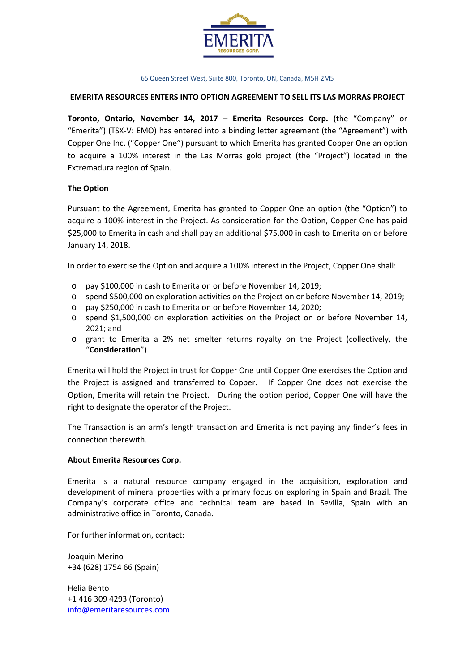

### 65 Queen Street West, Suite 800, Toronto, ON, Canada, M5H 2M5

## **EMERITA RESOURCES ENTERS INTO OPTION AGREEMENT TO SELL ITS LAS MORRAS PROJECT**

**Toronto, Ontario, November 14, 2017 – Emerita Resources Corp.** (the "Company" or "Emerita") (TSX-V: EMO) has entered into a binding letter agreement (the "Agreement") with Copper One Inc. ("Copper One") pursuant to which Emerita has granted Copper One an option to acquire a 100% interest in the Las Morras gold project (the "Project") located in the Extremadura region of Spain.

# **The Option**

Pursuant to the Agreement, Emerita has granted to Copper One an option (the "Option") to acquire a 100% interest in the Project. As consideration for the Option, Copper One has paid \$25,000 to Emerita in cash and shall pay an additional \$75,000 in cash to Emerita on or before January 14, 2018.

In order to exercise the Option and acquire a 100% interest in the Project, Copper One shall:

- o pay \$100,000 in cash to Emerita on or before November 14, 2019;
- o spend \$500,000 on exploration activities on the Project on or before November 14, 2019;
- o pay \$250,000 in cash to Emerita on or before November 14, 2020;
- o spend \$1,500,000 on exploration activities on the Project on or before November 14, 2021; and
- o grant to Emerita a 2% net smelter returns royalty on the Project (collectively, the "**Consideration**").

Emerita will hold the Project in trust for Copper One until Copper One exercises the Option and the Project is assigned and transferred to Copper. If Copper One does not exercise the Option, Emerita will retain the Project. During the option period, Copper One will have the right to designate the operator of the Project.

The Transaction is an arm's length transaction and Emerita is not paying any finder's fees in connection therewith.

# **About Emerita Resources Corp.**

Emerita is a natural resource company engaged in the acquisition, exploration and development of mineral properties with a primary focus on exploring in Spain and Brazil. The Company's corporate office and technical team are based in Sevilla, Spain with an administrative office in Toronto, Canada.

For further information, contact:

Joaquin Merino +34 (628) 1754 66 (Spain)

Helia Bento +1 416 309 4293 (Toronto) [info@emeritaresources.com](mailto:info@emeritaresources.com)